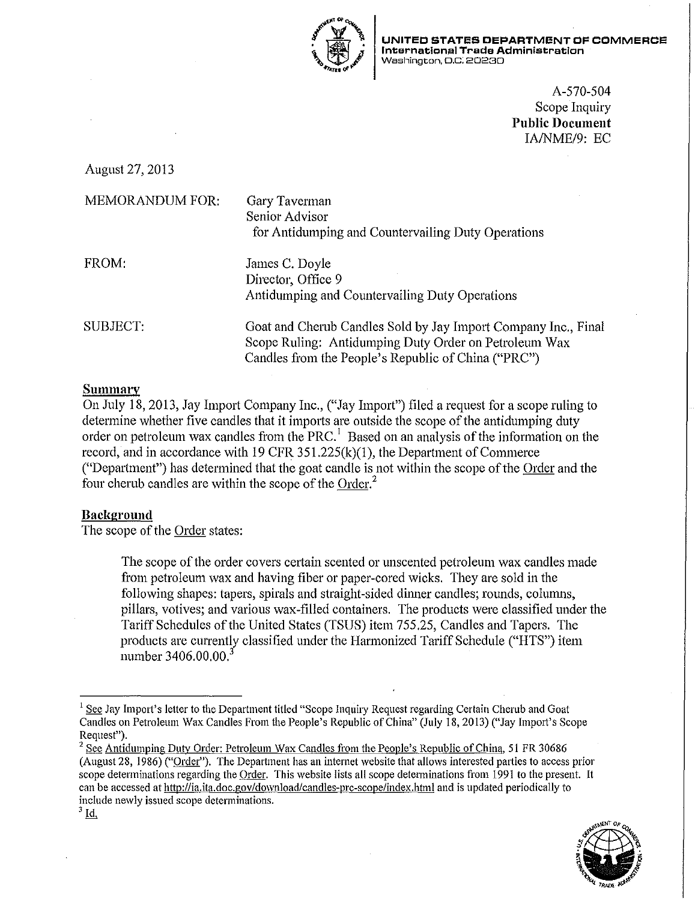

**UNITED STATES DEPARTMENT OF COMMERCE International Trade Administration Washington, D.C. 20230** 

> A-570-504 Scope Inquiry **Public Document**  IA/NME/9: EC

August 27,2013

| <b>MEMORANDUM FOR:</b> | Gary Taverman<br>Senior Advisor<br>for Antidumping and Countervailing Duty Operations                                                                                          |
|------------------------|--------------------------------------------------------------------------------------------------------------------------------------------------------------------------------|
| FROM:                  | James C. Doyle<br>Director, Office 9<br>Antidumping and Countervailing Duty Operations                                                                                         |
| SUBJECT:               | Goat and Cherub Candles Sold by Jay Import Company Inc., Final<br>Scope Ruling: Antidumping Duty Order on Petroleum Wax<br>Candles from the People's Republic of China ("PRC") |

## **Summary**

On July 18, 2013, Jay Import Company Inc., ("Jay Import") filed a request for a scope ruling to determine whether five candles that it imports are outside the scope of the antidumping duty order on petroleum wax candles from the PRC.<sup>1</sup> Based on an analysis of the information on the record, and in accordance with 19 CFR  $351.225(k)(1)$ , the Department of Commerce ("Department") has determined that the goat candle is not within the scope of the Order and the four cherub candles are within the scope of the Order.<sup>2</sup>

# **Bacl<ground**

The scope of the Order states:

The scope of the order covers cettain scented or unscented petroleum wax candles made from petroleum wax and having fiber or paper-cored wicks. They are sold in the following shapes: tapers, spirals and straight-sided dinner candles; rounds, colunms, pillars, votives; and various wax-filled containers. The products were classified under the Tariff Schedules of the United States (TSUS) item 755.25, Candles and Tapers. The products are currently classified under the Harmonized Tariff Schedule ("HTS") item number 3406.00.00.<sup>3</sup>

 $2$  See Antidumping Duty Order: Petroleum Wax Candles from the People's Republic of China, 51 FR 30686 (August 28, 1986) ("Order"). The Department has an internet website that allows interested parties to access prior scope determinations regarding the Order. This website lists all scope determinations from 1991 to the present. It can be accessed at http://ia.ita.doc.gov/download/candles-prc-scope/index.html and is updated periodically to **include newly issued scope determinations.** 



<sup>&</sup>lt;sup>1</sup> See Jay Import's letter to the Department titled "Scope Inquiry Request regarding Certain Cherub and Goat Candles on Petroleum Wax Candles From the People's Republic of China" (July 18, 2013) ("Jay Import's Scope Request").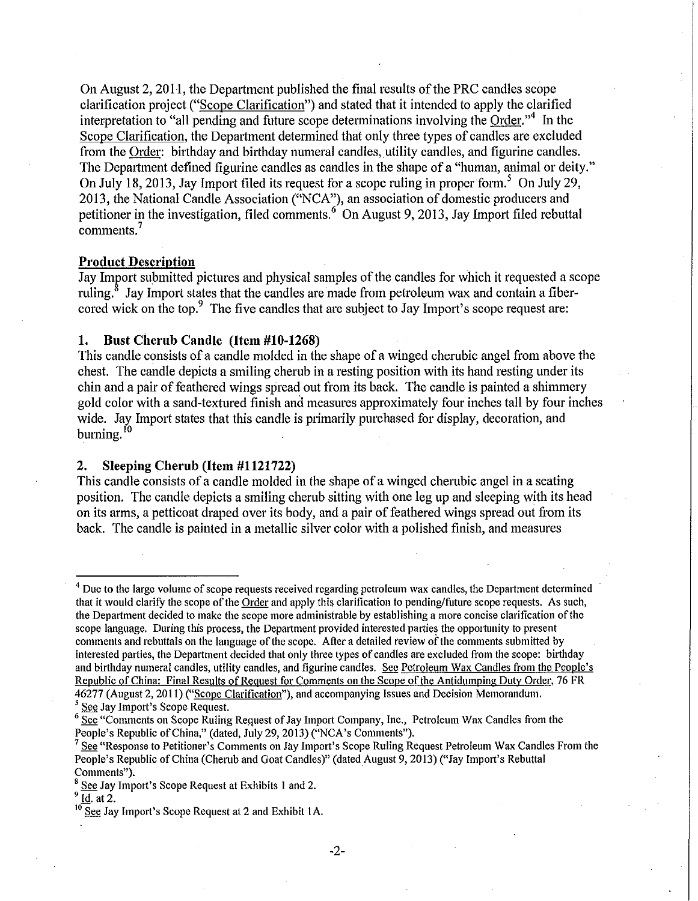On August 2, 2011, the Department published the final results of the PRC candles scope clarification project ("Scope Clarification") and stated that it intended to apply the clarified interpretation to "all pending and future scope determinations involving the Order."<sup>4</sup> In the Scope Clarification, the Department determined that only three types of candles are excluded from the Order: bitthday and birthday numeral candles, utility candles, and figurine candles. The Department defined figurine candles as candles in the shape of a "human, animal or deity." On July 18, 2013, Jay Import filed its request for a scope ruling in proper form.<sup>5</sup> On July 29, 2013, the National Candle Association ("NCA"), an association of domestic producers and petitioner in the investigation, filed comments.<sup>6</sup> On August 9, 2013, Jay Import filed rebuttal comments.<sup>7</sup>

#### **Product Description**

Jay Import submitted pictures and physical samples of the candles for which it requested a scope ruling.<sup>8</sup> Jay Import states that the candles are made from petroleum wax and contain a fibercored wick on the top.<sup>9</sup> The five candles that are subject to Jay Import's scope request are:

## **1. Bust Cherub Candle (Item #10-1268)**

This candle consists of a candle molded in the shape of a winged chembic angel from above the chest. The candle depicts a smiling cherub in a resting position with its hand resting under its chin and a pair of feathered wings spread out from its back. The candle is painted a shimmery gold color with a sand-textured finish and measures approximately four inches tall by four inches wide. Jay Import states that this candle is primarily purchased for display, decoration, and burning.<sup>10</sup>

### **2. Sleeping Cherub (Item #1121722)**

This candle consists of a candle molded in the shape of a winged cherubic angel in a seating position. The candle depicts a smiling cherub sitting with one leg up and sleeping with its head on its arms, a petticoat draped over its body, and a pair of feathered wings spread out from its back. The candle is painted in a metallic silver color with a polished finish, and measures

-2-

<sup>&</sup>lt;sup>4</sup> Due to the large volume of scope requests received regarding petroleum wax candles, the Department determined that it would clarifY the scope of the Order and apply this clarification to pending/future scope requests. As such, the Department decided to make the scope more administrable by establishing a more concise clarification of the scope language. During this process, the Department provided interested parties the opportunity to present comments and rebuttals on the language of the scope. After a detailed review of the comments submitted by interested parties, the Department decided that only three types of candles are excluded from the scope: birthday and birthday numeral candles, utility candles, and figurine candles. See Petroleum Wax Candles from the People's Republic of China: Final Results of Request for Comments on the Scope of the Antidumping Duty Order, 76 FR 46277 (August 2, 2011) ("Scope Clarification"), and accompanying Issues and Decision Memorandum.<br><sup>5</sup> See Jay Import's Scope Request.

<sup>&</sup>lt;sup>6</sup> See "Comments on Scope Ruling Request of Jay Import Company, Inc., Petroleum Wax Candles from the People's Republic of China," (dated, July 29, 2013) ("NCA's Comments").

See "Response to Petitioner's Comments on Jay Import's Scope Ruling Request Petroleum Wax Candles From the People's Republic of China (Chemb and Goat Candles)" (dated August 9, 2013) ("Jay Import's Rebuttal Comments").

 $\frac{8}{9}$  See Jay Import's Scope Request at Exhibits 1 and 2.

 $10$  See Jay Import's Scope Request at 2 and Exhibit 1A.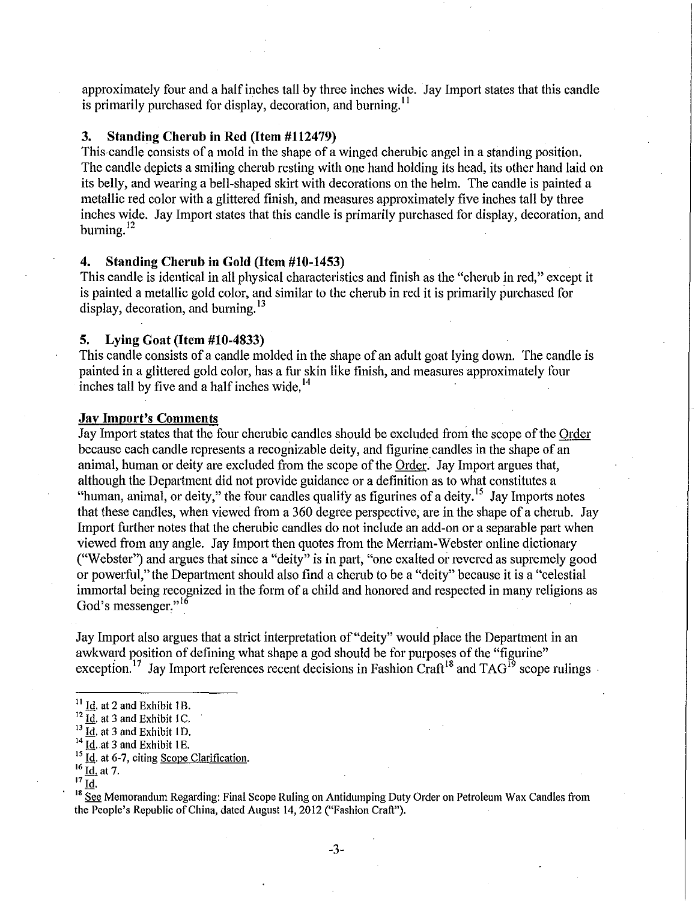approximately four and a half inches tall by three inches wide. Jay Import states that this candle is primarily purchased for display, decoration, and burning.<sup>11</sup>

#### **3. Standing Cherub in Red (Item #112479)**

This candle consists of a mold in the shape of a winged cherubic angel in a standing position. The candle depicts a smiling cherub resting with one hand holding its head, its other hand laid on its belly, and wearing a bell-shaped skirt with decorations on the helm. The candle is painted a metallic red color with a glittered finish, and measures approximately five inches tall by three inches wide. Jay Import states that this candle is primarily purchased for display, decoration, and burning.<sup>12</sup>

### **4. Standing Cherub in Gold (Item #10-1453)**

This candle is identical in all physical characteristics and finish as the "cherub in red," except it is painted a metallic gold color, and similar to the cherub in red it is primarily purchased for display, decoration, and burning.  $13$ 

# **5. Lying Goat (Item #10-4833)**

This candle consists of a candle molded in the shape of an adult goat lying down. The candle is painted in a glittered gold color, has a fur skin like finish, and measures approximately four inches tall by five and a half inches wide.<sup>14</sup>

#### **Jay Import's Comments**

Jay Import states that the four chembic candles should be excluded from the scope of the Order because each candle represents a recognizable deity, and figurine candles in the shape of an animal, human or deity are excluded from the scope of the Order. Jay Import argues that, although the Department did not provide guidance or a definition as to what constitutes a "human, animal, or deity," the four candles qualify as figurines of a deity.<sup>15</sup> Jay Imports notes that these candles, when viewed from a 360 degree perspective, are in the shape of a cherub. Jay Import further notes that the cherubic candles do not include an add-on or a separable part when viewed from any angle. Jay Import then quotes from the Merriam-Webster online dictionary ("Webster") and argues that since a "deity" is in part, "one exalted or revered as supremely good or powerful," the Department should also find a cherub to be a "deity" because it is a "celestial immortal being recognized in the form of a child and honored and respected in many religions as God's messenger."<sup>16</sup>

Jay Import also argues that a strict interpretation of "deity" would place the Department in an awkward position of defining what shape a god should be for purposes of the "figurine" exception.<sup>17</sup> Jay Import references recent decisions in Fashion Craft<sup>18</sup> and TAG<sup>19</sup> scope rulings

<sup>15</sup> Id. at 6-7, citing <u>Scope Clarification</u>.<br><sup>16</sup> Id. at 7.<br><sup>17</sup> Id.

 $11$  Id. at 2 and Exhibit 1B.

 $^{12}$   $\overline{Id}$ . at 3 and Exhibit 1C.

 $^{13}$   $\overline{Id}$ . at 3 and Exhibit 1D.

 $^{14}$  Id. at 3 and Exhibit 1E.

<sup>&</sup>lt;sup>18</sup> See Memorandum Regarding: Final Scope Ruling on Antidumping Duty Order on Petroleum Wax Candles from the People's Republic of China, dated August 14,2012 ("Fashion Craft").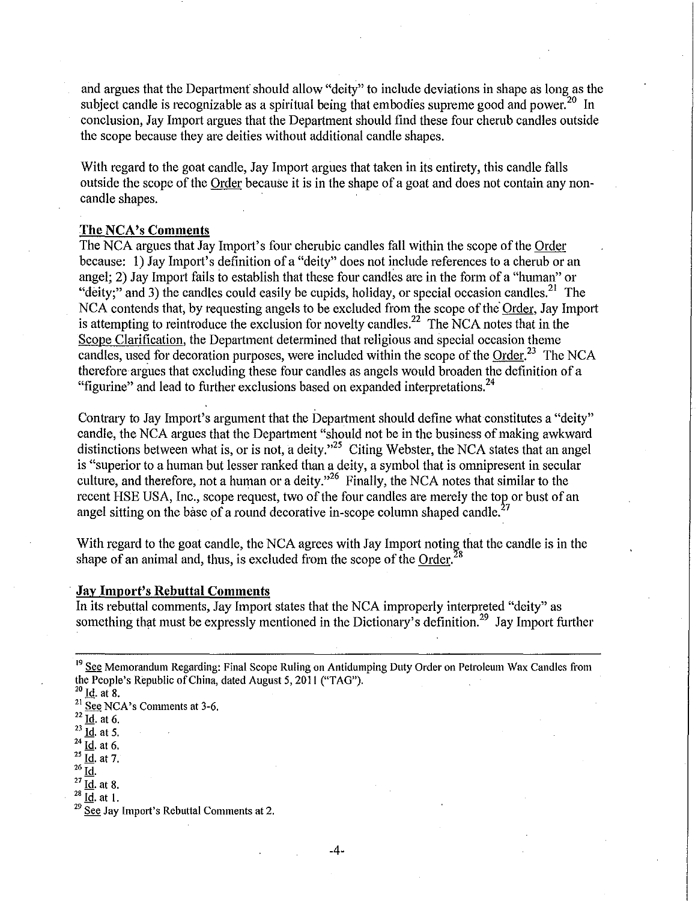and argues that the Department should allow "deity" to include deviations in shape as long as the subject candle is recognizable as a spiritual being that embodies supreme good and power.<sup>20</sup> In conclusion, Jay Import argues that the Department should find these four cherub candles outside the scope because they are deities without additional candle shapes.

With regard to the goat candle, Jay Import argues that taken in its entirety, this candle falls outside the scope of the Order because it is in the shape of a goat and does not contain any noncandle shapes.

#### **The NCA's Comments**

The NCA argues that Jay Import's four cherubic candles fall within the scope of the Order because: 1) Jay Import's definition of a "deity" does not include references to a cherub or an angel; 2) Jay Import fails to establish that these four candles are in the form of a "human" or "deity;" and 3) the candles could easily be cupids, holiday, or special occasion candles.<sup>21</sup> The NCA contends that, by requesting angels to be excluded from the scope of the Order, Jay Import is attempting to reintroduce the exclusion for novelty candles.<sup>22</sup> The NCA notes that in the Scope Clarification, the Department determined that religious and special occasion theme candles, used for decoration purposes, were included within the scope of the Order.<sup>23</sup> The NCA therefore argues that excluding these four candles as angels would broaden the definition of a "figurine" and lead to further exclusions based on expanded interpretations.<sup>24</sup>

Contrary to Jay Import's argument that the Department should define what constitutes a "deity" candle, the NCA argues that the Depattment "should not be in the business of making awkward distinctions between what is, or is not, a deity."<sup>25</sup> Citing Webster, the NCA states that an angel is "superior to a human but lesser ranked than a deity, a symbol that is omnipresent in secular culture, and therefore, not a human or a deity."<sup>26</sup> Finally, the NCA notes that similar to the recent HSE USA, Inc., scope request, two of the four candles are merely the top or bust of an angel sitting on the base of a round decorative in-scope column shaped candle.<sup>2</sup>

With regard to the goat candle, the NCA agrees with Jay Import noting that the candle is in the shape of an animal and, thus, is excluded from the scope of the Order.<sup>28</sup>

### **Jay Import's Rebuttal Comments**

In its rebuttal comments, Jay Import states that the NCA improperly interpreted "deity" as something that must be expressly mentioned in the Dictionary's definition.<sup>29</sup> Jay Import further

- $rac{24}{25}$  Id. at 6.
- Id. at 7.
- $^{26}$   $\underline{\mathsf{Id}}$ .

 $^{27}$   $\overline{\text{Id}}$ . at 8.  $^{28}$   $\overline{Id}$ . at 1.

<sup>&</sup>lt;sup>19</sup> See Memorandum Regarding: Final Scope Ruling on Antidumping Duty Order on Petroleum Wax Candles from the People's Republic of China, dated August 5, 2011 ("TAG").

 $^{20}$  Id. at 8.

 $\frac{21}{22}$  See NCA's Comments at 3-6.<br><sup>22</sup> Id. at 6.

 $^{23}$  Id. at 5.

 $29$  See Jay Import's Rebuttal Comments at 2.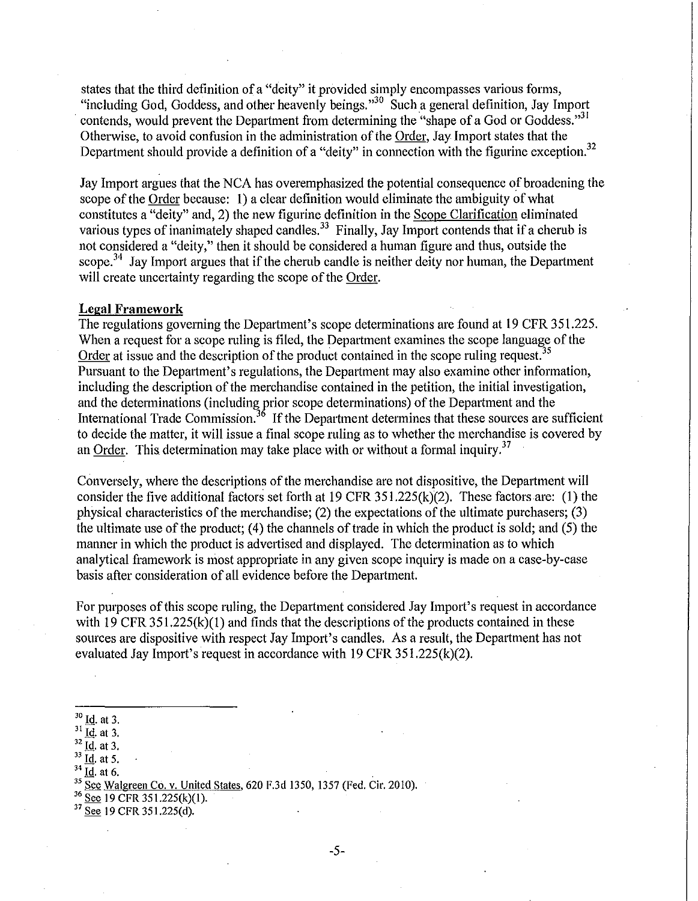states that the third definition of a "deity" it provided simply encompasses various forms, "including God, Goddess, and other heavenly beings."30 Sucha general definition, Jay Import contends, would prevent the Department from determining the "shape of a God or Goddess."<sup>31</sup> Otherwise, to avoid confusion in the administration of the Order, Jay Import states that the Department should provide a definition of a "deity" in connection with the figurine exception.<sup>32</sup>

Jay Import argues that the NCA has overemphasized the potential consequence of broadening the scope of the Order because: I) a clear definition would eliminate the ambiguity of what constitutes a "deity" and, 2) the new figurine definition in the Scope Clarification eliminated various types of inanimately shaped candles.<sup>33</sup> Finally, Jay Import contends that if a cherub is not considered a "deity," then it should be considered a human figure and thus, outside the scope.<sup>34</sup> Jay Import argues that if the cherub candle is neither deity nor human, the Department will create uncertainty regarding the scope of the Order.

### **Legal Framework**

The regulations governing the Department's scope determinations are found at 19 CFR 351.225. When a request for a scope ruling is filed, the Department examines the scope language of the Order at issue and the description of the product contained in the scope ruling request.<sup>35</sup> Pursuant to the Depatiment's regulations, the Depatiment may also examine other information, including the description of the merchandise contained in the petition, the initial investigation, and the determinations (including prior scope determinations) of the Department and the International Trade Commission.<sup>36</sup> If the Department determines that these sources are sufficient to decide the matter, it will issue a final scope ruling as to whether the merchandise is covered by an Order. This determination may take place with or without a formal inquiry.<sup>37</sup>

Conversely, where the descriptions of the merchandise are not dispositive, the Department will consider the five additional factors set forth at  $19 \text{ CFR } 351.225(k)(2)$ . These factors are: (1) the physical characteristics of the merchandise; (2) the expectations of the ultimate purchasers; (3) the ultimate use of the product; (4) the channels of trade in which the product is sold; and (5) the manner in which the product is advertised and displayed. The determination as to which analytical framework is most appropriate in any given scope inquiry is made on a case-by-case basis after consideration of all evidence before the Department.

For purposes of this scope ruling, the Department considered Jay Import's request in accordance with 19 CFR  $351.225(k)(1)$  and finds that the descriptions of the products contained in these sources are dispositive with respect Jay Import's candles. As a result, the Department has not evaluated Jay Import's request in accordance with 19 CFR 351.225(k)(2).

 $37\overline{\text{See}}$  19 CFR 351.225(d).

-5-

 $30 \underline{Id}$ , at 3.

 $31 \overline{Id}$ , at 3.

 $rac{32}{33}$   $\frac{1}{1d}$ , at 3.

 $\frac{34 \text{ Id}}{55 \text{ See } \text{Walgreen Co. v. United States}}$ , 620 F.3d 1350, 1357 (Fed. Cir. 2010).<br><sup>36</sup> See 19 CFR 351.225(k)(1).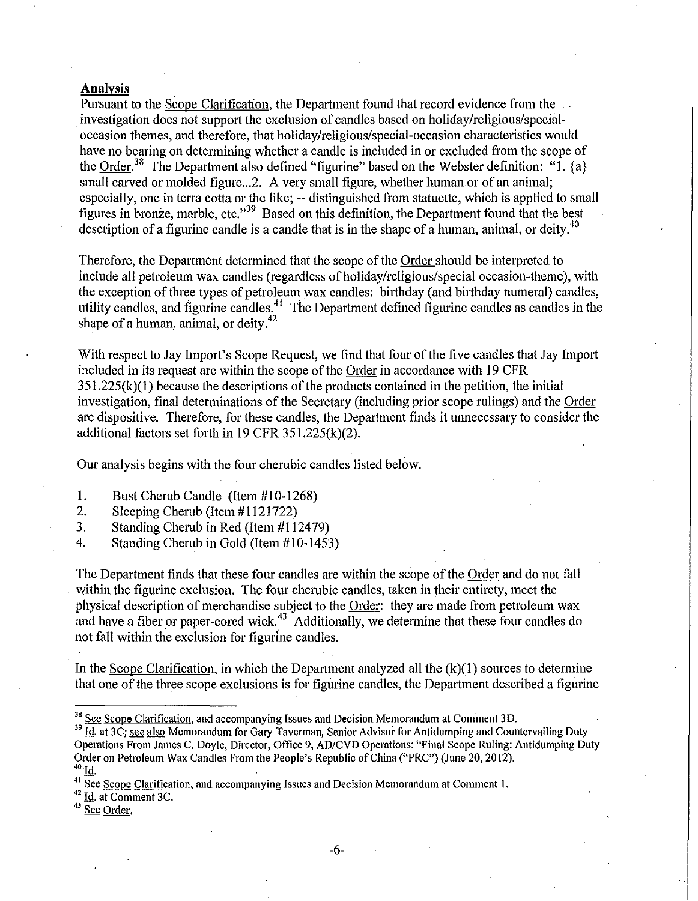## **Analysis**

Pursuant to the Scope Clarification, the Department found that record evidence from the investigation does not support the exclusion of candles based on holiday/religious/specialoccasion themes, and therefore, that holiday/religious/special-occasion characteristics would have no bearing on determining whether a candle is included in or excluded from the scope of the Order.<sup>38</sup> The Department also defined "figurine" based on the Webster definition: "1.  ${a}$ } small carved or molded figure...2. A very small figure, whether human or of an animal; especially, one in terra cotta or the like; -- distinguished from statuette, which is applied to small figures in bronze, marble, etc."39 Based on this definition, the Department found that the best description of a figurine candle is a candle that is in the shape of a human, animal, or deity.<sup>40</sup>

Therefore, the Department determined that the scope of the Order should be interpreted to include all petroleum wax candles (regardless of holiday/religious/special occasion-theme), with the exception of three types of petroleum wax candles: birthday (and birthday numeral) candles, utility candles, and figurine candles.<sup>41</sup> The Department defined figurine candles as candles in the shape of a human, animal, or deity.<sup>42</sup>

With respect to Jay Impott's Scope Request, we find that four of the five candles that Jay Import included in its request are within the scope of the Order in accordance with 19 CFR  $351.225(k)(1)$  because the descriptions of the products contained in the petition, the initial investigation, final determinations of the Secretary (including prior scope rulings) and the Order are dispositive. Therefore, for these candles, the Department finds it unnecessary to consider the additional factors set forth in 19 CFR 351.225(k)(2).

Our analysis begins with the four cherubic candles listed below.

- 1. Bust Cherub Candle (Item  $#10-1268$ )<br>2. Sleeping Cherub (Item  $#1121722$ )
- Sleeping Cherub (Item #1121722)
- 3. Standing Cherub in Red (Item #112479)
- 4. Standing Cherub in Gold (Item #10-1453)

The Department finds that these four candles are within the scope of the Order and do not fall within the figurine exclusion. The four cherubic candles, taken in their entirety, meet the physical description of merchandise subject to the Order: they are made from petroleum wax and have a fiber or paper-cored wick.<sup>43</sup> Additionally, we determine that these four candles do not fall within the exclusion for figurine candles.

In the Scope Clarification, in which the Department analyzed all the  $(k)(1)$  sources to determine that one of the three scope exclusions is for figurine candles, the Department described a figurine

 $42 \overline{\text{Id}}$ . at Comment 3C.

43 See Order.

<sup>&</sup>lt;sup>38</sup> See Scope Clarification, and accompanying Issues and Decision Memorandum at Comment 3D.<br><sup>39</sup> Id. at 3C; se<u>e also</u> Memorandum for Gary Taverman, Senior Advisor for Antidumping and Countervailing Duty Operations From James C. Doyle, Director, Office 9, AD/CVD Operations: "Final Scope Ruling: Antidumping Duty Order on Petroleum Wax Candles From the People's Republic of China ("PRC") (June 20, 2012).

 $41$  See Scope Clarification, and accompanying Issues and Decision Memorandum at Comment 1.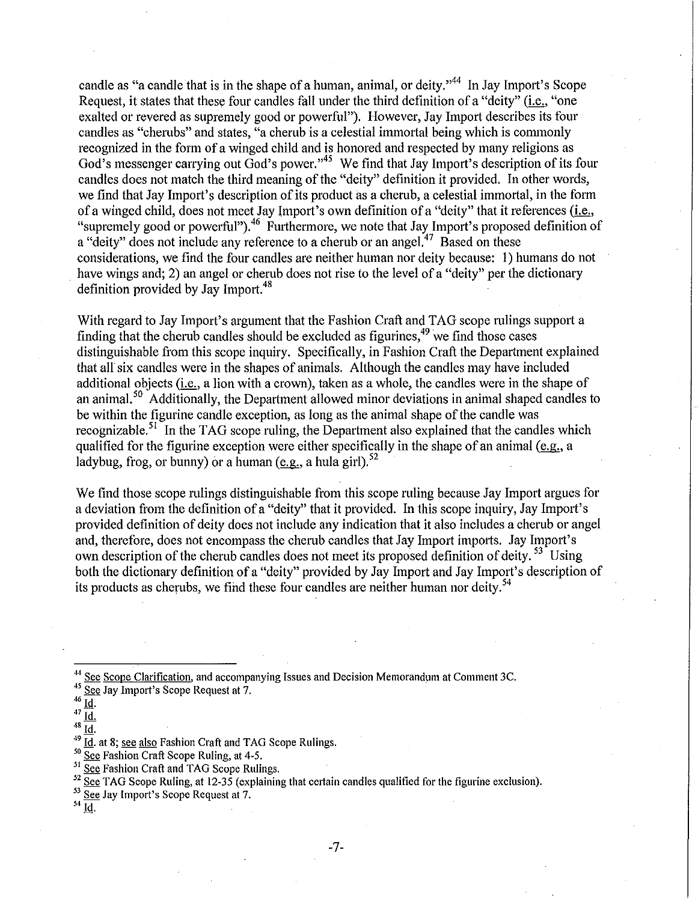candle as "a candle that is in the shape of a human, animal, or deity."<sup>44</sup> In Jay Import's Scope Request, it states that these four candles fall under the third definition of a "deity" (i.e., "one exalted or revered as supremely good or powerful"). However, Jay Import describes its four candles as "cherubs" and states, "a cherub is a celestial immortal being which is commonly recognized in the form of a winged child and is honored and respected by many religions as God's messenger carrying out God's power."<sup>45</sup> We find that Jay Import's description of its four candles does not match the third meaning of the "deity" definition it provided. In other words, we find that Jay Import's description of its product as a cherub, a celestial immortal, in the form of a winged child, does not meet Jay Import's own definition of a "deity" that it references (i.e., "supremely good or powerful").<sup>46</sup> Furthermore, we note that Jay Import's proposed definition of a "deity" does not include any reference to a cherub or an angel.<sup>47</sup> Based on these considerations, we find the four candles are neither human nor deity because: 1) humans do not have wings and; 2) an angel or cherub does not rise to the level of a "deity" per the dictionary definition provided by Jay Import.<sup>48</sup>

With regard to Jay Import's argument that the Fashion Craft and TAG scope rulings support a finding that the cherub candles should be excluded as figurines, 49 we find those cases distinguishable from this scope inquiry. Specifically, in Fashion Craft the Department explained that all' six candles were in the shapes of animals. Although the candles may have included additional objects (i.e., a lion with a crown), taken as a whole, the candles were in the shape of an animal,<sup>50</sup> Additionally, the Department allowed minor deviations in animal shaped candles to be within the figurine candle exception, as long as the animal shape of the candle was recognizable.<sup>51</sup> In the TAG scope ruling, the Department also explained that the candles which qualified for the figurine exception were either specifically in the shape of an animal (e.g., a ladybug, frog, or bunny) or a human (e.g., a hula girl).  $52$ 

We find those scope rulings distinguishable from this scope ruling because Jay Import argues for a deviation from the definition of a "deity" that it provided. In this scope inquiry, Jay Import's provided definition of deity does not include any indication that it also includes a chemb or angel and, therefore, does not encompass the cherub candles that Jay Import imports. Jay Import's own description of the cherub candles does not meet its proposed definition of deity.<sup>53</sup> Using both the dictionary definition of a "deity" provided by Jay Import and Jay Import's description of its products as cherubs, we find these four candles are neither human nor deity.<sup>54</sup>

<sup>44</sup> See Scope Clarification, and accompanying Issues and Decision Memorandum at Comment 3C.<br><sup>45</sup> See Jay Import's Scope Request at 7.

- $^{46}$   $\underline{\text{Id}}$ .
- $\frac{47}{48}$  $rac{\overline{1d}}{11}$

Id.

 $\frac{49}{10}$   $\frac{1}{10}$ . at 8; <u>see also</u> Fashion Craft and TAG Scope Rulings.<br><sup>50</sup> See Fashion Craft Scope Ruling, at 4-5.

<sup>51</sup> See Fashion Craft and TAG Scope Rulings.

 $\frac{52}{52}$  See TAG Scope Ruling, at 12-35 (explaining that certain candles qualified for the figurine exclusion).<br>  $\frac{53}{52}$  See Jay Import's Scope Request at 7.<br>
<sup>54</sup> Id.